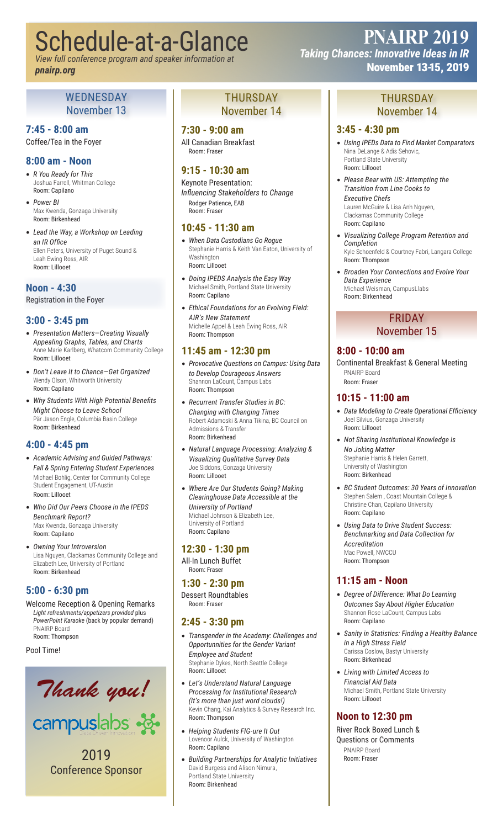# Schedule-at-a-Glance

*View full conference program and speaker information at pnairp.org*

#### WEDNESDAY November 13

# **7:45 - 8:00 am**

Coffee/Tea in the Foyer

# **8:00 am - Noon**

- *R You Ready for This* Joshua Farrell, Whitman College Room: Capilano
- *Power BI* Max Kwenda, Gonzaga University Room: Birkenhead
- *Lead the Way, a Workshop on Leading an IR Office* Ellen Peters, University of Puget Sound & Leah Ewing Ross, AIR Room: Lillooet

# **Noon - 4:30**

Registration in the Foyer

# **3:00 - 3:45 pm**

- *Presentation Matters—Creating Visually Appealing Graphs, Tables, and Charts* Anne Marie Karlberg, Whatcom Community College Room: Lillooet
- *Don't Leave It to Chance—Get Organized* Wendy Olson, Whitworth University Room: Capilano
- *Why Students With High Potential Benefits Might Choose to Leave School* Pär Jason Engle, Columbia Basin College Room: Birkenhead

#### **4:00 - 4:45 pm**

- *Academic Advising and Guided Pathways: Fall & Spring Entering Student Experiences* Michael Bohlig, Center for Community College Student Engagement, UT-Austin Room: Lillooet
- *Who Did Our Peers Choose in the IPEDS Benchmark Report?* Max Kwenda, Gonzaga University Room: Capilano
- *Owning Your Introversion* Lisa Nguyen, Clackamas Community College and Elizabeth Lee, University of Portland Room: Birkenhead

# **5:00 - 6:30 pm**

Welcome Reception & Opening Remarks *Light refreshments/appetizers provided* plus *PowerPoint Karaoke* (back by popular demand) PNAIRP Board Room: Thompson

Pool Time!



campuslabs &

2019 Conference Sponsor

### THURSDAY November 14

# **7:30 - 9:00 am**

All Canadian Breakfast Room: Fraser

# **9:15 - 10:30 am**

Keynote Presentation: *Influencing Stakeholders to Change* Rodger Patience, EAB Room: Fraser

#### **10:45 - 11:30 am**

- *When Data Custodians Go Rogue* Stephanie Harris & Keith Van Eaton, University of Washington Room: Lillooet
- *Doing IPEDS Analysis the Easy Way* Michael Smith, Portland State University Room: Capilano
- *Ethical Foundations for an Evolving Field: AIR's New Statement* Michelle Appel & Leah Ewing Ross, AIR Room: Thompson

#### **11:45 am - 12:30 pm**

- *Provocative Questions on Campus: Using Data to Develop Courageous Answers* Shannon LaCount, Campus Labs Room: Thompson
- *Recurrent Transfer Studies in BC: Changing with Changing Times* Robert Adamoski & Anna Tikina, BC Council on Admissions & Transfer Room: Birkenhead
- *Natural Language Processing: Analyzing & Visualizing Qualitative Survey Data* Joe Siddons, Gonzaga University Room: Lillooet
- *Where Are Our Students Going? Making Clearinghouse Data Accessible at the University of Portland* Michael Johnson & Elizabeth Lee, University of Portland Room: Capilano

#### **12:30 - 1:30 pm**

All-In Lunch Buffet Room: Fraser

#### **1:30 - 2:30 pm** Dessert Roundtables

Room: Fraser

#### **2:45 - 3:30 pm**

- *Transgender in the Academy: Challenges and Opportunnities for the Gender Variant Employee and Student* Stephanie Dykes, North Seattle College Room: Lillooet
- *Let's Understand Natural Language Processing for Institutional Research (It's more than just word clouds!)* Kevin Chang, Kai Analytics & Survey Research Inc. Room: Thompson
- *Helping Students FIG-ure It Out* Lovenoor Aulck, University of Washington Room: Capilano
- *Building Partnerships for Analytic Initiatives* David Burgess and Alison Nimura, Portland State University Room: Birkenhead

# **PNAIRP 2019**

*Taking Chances: Innovative Ideas in IR* November 13-15, 2019

# THURSDAY November 14

# **3:45 - 4:30 pm**

- *Using IPEDs Data to Find Market Comparators* Nina DeLange & Adis Sehovic, Portland State University Room: Lillooet
- *Please Bear with US: Attempting the Transition from Line Cooks to Executive Chefs* Lauren McGuire & Lisa Anh Nguyen, Clackamas Community College Room: Capilano
- *Visualizing College Program Retention and Completion* Kyle Schoenfeld & Courtney Fabri, Langara College Room: Thompson
- *Broaden Your Connections and Evolve Your Data Experience* Michael Weisman, CampusLlabs Room: Birkenhead

## FRIDAY November 15

# **8:00 - 10:00 am**

Continental Breakfast & General Meeting PNAIRP Board Room: Fraser

#### **10:15 - 11:00 am**

- *Data Modeling to Create Operational Efficiency* Joel Silvius, Gonzaga University Room: Lillooet
- *Not Sharing Institutional Knowledge Is No Joking Matter* Stephanie Harris & Helen Garrett, University of Washington Room: Birkenhead
- *BC Student Outcomes: 30 Years of Innovation* Stephen Salem , Coast Mountain College & Christine Chan, Capilano University Room: Capilano
- *Using Data to Drive Student Success: Benchmarking and Data Collection for Accreditation* Mac Powell, NWCCU Room: Thompson

# **11:15 am - Noon**

- *Degree of Difference: What Do Learning Outcomes Say About Higher Education* Shannon Rose LaCount, Campus Labs Room: Capilano
- *Sanity in Statistics: Finding a Healthy Balance in a High Stress Field* Carissa Coslow, Bastyr University Room: Birkenhead
- *Living with Limited Access to Financial Aid Data* Michael Smith, Portland State University Room: Lillooet

# **Noon to 12:30 pm**

River Rock Boxed Lunch & Questions or Comments PNAIRP Board Room: Fraser